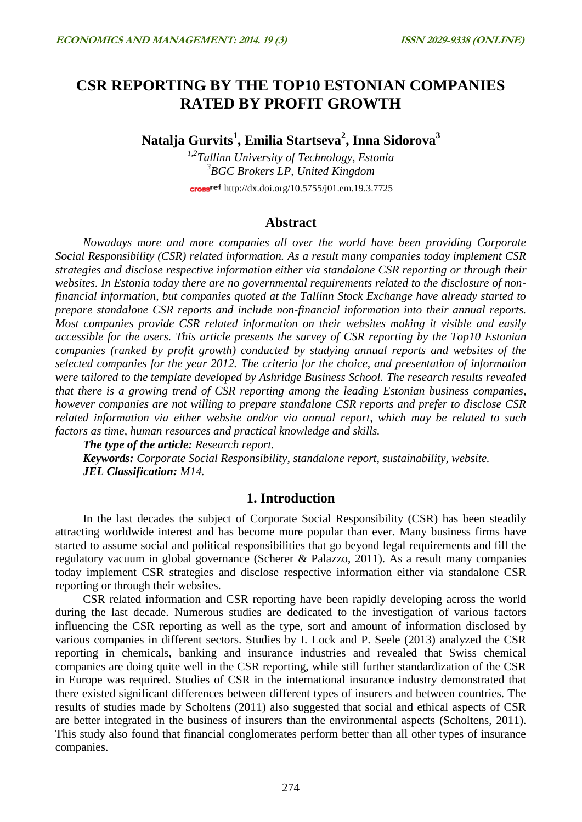# **CSR REPORTING BY THE TOP10 ESTONIAN COMPANIES RATED BY PROFIT GROWTH**

**Natalja Gurvits<sup>1</sup> , Emilia Startseva<sup>2</sup> , Inna Sidorova<sup>3</sup>**

*1,2Tallinn University of Technology, Estonia 3 BGC Brokers LP, United Kingdom* cross<sup>ref</sup> <http://dx.doi.org/10.5755/j01.em.19.3.7725>

# **Abstract**

*Nowadays more and more companies all over the world have been providing Corporate Social Responsibility (CSR) related information. As a result many companies today implement CSR strategies and disclose respective information either via standalone CSR reporting or through their websites. In Estonia today there are no governmental requirements related to the disclosure of nonfinancial information, but companies quoted at the Tallinn Stock Exchange have already started to prepare standalone CSR reports and include non-financial information into their annual reports. Most companies provide CSR related information on their websites making it visible and easily accessible for the users. This article presents the survey of CSR reporting by the Top10 Estonian companies (ranked by profit growth) conducted by studying annual reports and websites of the selected companies for the year 2012. The criteria for the choice, and presentation of information were tailored to the template developed by Ashridge Business School. The research results revealed that there is a growing trend of CSR reporting among the leading Estonian business companies, however companies are not willing to prepare standalone CSR reports and prefer to disclose CSR related information via either website and/or via annual report, which may be related to such factors as time, human resources and practical knowledge and skills.*

*The type of the article: Research report.*

*Keywords: Corporate Social Responsibility, standalone report, sustainability, website. JEL Classification: M14.*

# **1. Introduction**

In the last decades the subject of Corporate Social Responsibility (CSR) has been steadily attracting worldwide interest and has become more popular than ever. Many business firms have started to assume social and political responsibilities that go beyond legal requirements and fill the regulatory vacuum in global governance (Scherer & Palazzo, 2011). As a result many companies today implement CSR strategies and disclose respective information either via standalone CSR reporting or through their websites.

CSR related information and CSR reporting have been rapidly developing across the world during the last decade. Numerous studies are dedicated to the investigation of various factors influencing the CSR reporting as well as the type, sort and amount of information disclosed by various companies in different sectors. Studies by I. Lock and P. Seele (2013) analyzed the CSR reporting in chemicals, banking and insurance industries and revealed that Swiss chemical companies are doing quite well in the CSR reporting, while still further standardization of the CSR in Europe was required. Studies of CSR in the international insurance industry demonstrated that there existed significant differences between different types of insurers and between countries. The results of studies made by Scholtens (2011) also suggested that social and ethical aspects of CSR are better integrated in the business of insurers than the environmental aspects (Scholtens, 2011). This study also found that financial conglomerates perform better than all other types of insurance companies.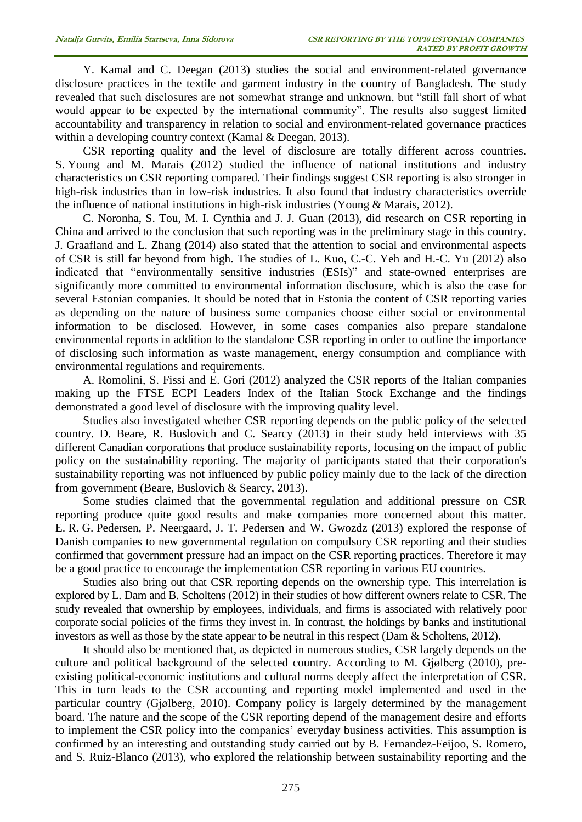Y. Kamal and C. Deegan (2013) studies the social and environment-related governance disclosure practices in the textile and garment industry in the country of Bangladesh. The study revealed that such disclosures are not somewhat strange and unknown, but "still fall short of what would appear to be expected by the international community". The results also suggest limited accountability and transparency in relation to social and environment-related governance practices within a developing country context (Kamal & Deegan, 2013).

CSR reporting quality and the level of disclosure are totally different across countries. S. Young and M. Marais (2012) studied the influence of national institutions and industry characteristics on CSR reporting compared. Their findings suggest CSR reporting is also stronger in high-risk industries than in low-risk industries. It also found that industry characteristics override the influence of national institutions in high-risk industries (Young & Marais, 2012).

C. Noronha, S. Tou, M. I. Cynthia and J. J. Guan (2013), did research on CSR reporting in China and arrived to the conclusion that such reporting was in the preliminary stage in this country. J. Graafland and L. Zhang (2014) also stated that the attention to social and environmental aspects of CSR is still far beyond from high. The studies of L. Kuo, C.-C. Yeh and H.-C. Yu (2012) also indicated that "environmentally sensitive industries (ESIs)" and state-owned enterprises are significantly more committed to environmental information disclosure, which is also the case for several Estonian companies. It should be noted that in Estonia the content of CSR reporting varies as depending on the nature of business some companies choose either social or environmental information to be disclosed. However, in some cases companies also prepare standalone environmental reports in addition to the standalone CSR reporting in order to outline the importance of disclosing such information as waste management, energy consumption and compliance with environmental regulations and requirements.

A. Romolini, S. Fissi and E. Gori (2012) analyzed the CSR reports of the Italian companies making up the FTSE ECPI Leaders Index of the Italian Stock Exchange and the findings demonstrated a good level of disclosure with the improving quality level.

Studies also investigated whether CSR reporting depends on the public policy of the selected country. D. Beare, R. Buslovich and C. Searcy (2013) in their study held interviews with 35 different Canadian corporations that produce sustainability reports, focusing on the impact of public policy on the sustainability reporting. The majority of participants stated that their corporation's sustainability reporting was not influenced by public policy mainly due to the lack of the direction from government (Beare, Buslovich & Searcy, 2013).

Some studies claimed that the governmental regulation and additional pressure on CSR reporting produce quite good results and make companies more concerned about this matter. E. R. G. Pedersen, P. Neergaard, J. T. Pedersen and W. Gwozdz (2013) explored the response of Danish companies to new governmental regulation on compulsory CSR reporting and their studies confirmed that government pressure had an impact on the CSR reporting practices. Therefore it may be a good practice to encourage the implementation CSR reporting in various EU countries.

Studies also bring out that CSR reporting depends on the ownership type. This interrelation is explored by L. Dam and B. Scholtens (2012) in their studies of how different owners relate to CSR. The study revealed that ownership by employees, individuals, and firms is associated with relatively poor corporate social policies of the firms they invest in. In contrast, the holdings by banks and institutional investors as well as those by the state appear to be neutral in this respect (Dam & Scholtens, 2012).

It should also be mentioned that, as depicted in numerous studies, CSR largely depends on the culture and political background of the selected country. According to M. Gjølberg (2010), preexisting political-economic institutions and cultural norms deeply affect the interpretation of CSR. This in turn leads to the CSR accounting and reporting model implemented and used in the particular country (Gjølberg, 2010). Company policy is largely determined by the management board. The nature and the scope of the CSR reporting depend of the management desire and efforts to implement the CSR policy into the companies' everyday business activities. This assumption is confirmed by an interesting and outstanding study carried out by B. Fernandez-Feijoo, S. Romero, and S. Ruiz-Blanco (2013), who explored the relationship between sustainability reporting and the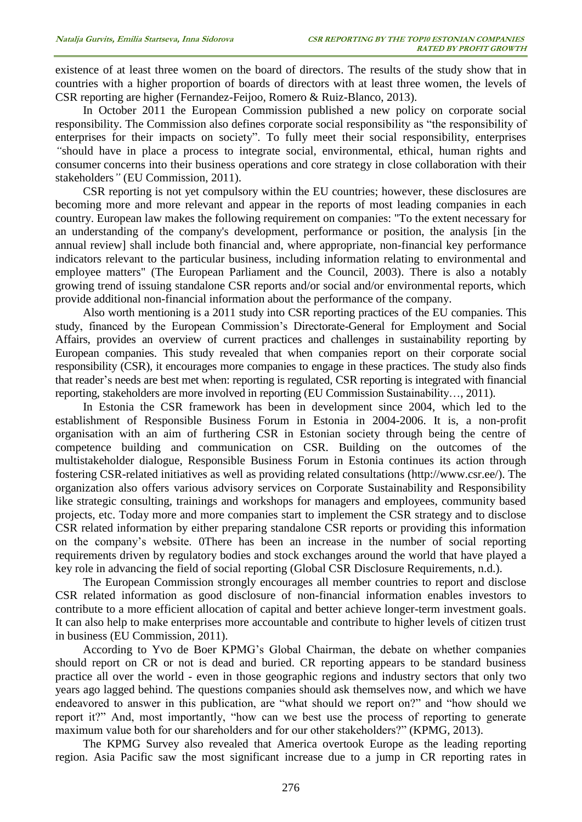existence of at least three women on the board of directors. The results of the study show that in countries with a higher proportion of boards of directors with at least three women, the levels of CSR reporting are higher (Fernandez-Feijoo, Romero & Ruiz-Blanco, 2013).

In October 2011 the European Commission published a [new policy on corporate social](http://eur-lex.europa.eu/LexUriServ/LexUriServ.do?uri=COM:2011:0681:FIN:EN:PDF)  [responsibility.](http://eur-lex.europa.eu/LexUriServ/LexUriServ.do?uri=COM:2011:0681:FIN:EN:PDF) The Commission also defines corporate social responsibility as "the responsibility of enterprises for their impacts on society". To fully meet their social responsibility, enterprises *"*should have in place a process to integrate social, environmental, ethical, human rights and consumer concerns into their business operations and core strategy in close collaboration with their stakeholders*"* (EU Commission, 2011).

CSR reporting is not yet compulsory within the EU countries; however, these disclosures are becoming more and more relevant and appear in the reports of most leading companies in each country. European law makes the following requirement on companies: "To the extent necessary for an understanding of the company's development, performance or position, the analysis [in the annual review] shall include both financial and, where appropriate, non-financial key performance indicators relevant to the particular business, including information relating to environmental and employee matters" (The European Parliament and the Council, 2003). There is also a notably growing trend of issuing standalone CSR reports and/or social and/or environmental reports, which provide additional non-financial information about the performance of the company.

Also worth mentioning is a 2011 study into CSR reporting practices of the EU companies. This study, financed by the European Commission's Directorate-General for Employment and Social Affairs, provides an overview of current practices and challenges in sustainability reporting by European companies. This study revealed that when companies report on their corporate social responsibility (CSR), it encourages more companies to engage in these practices. The study also finds that reader's needs are best met when: reporting is regulated, CSR reporting is integrated with financial reporting, stakeholders are more involved in reporting (EU Commission Sustainability…, 2011).

In Estonia the CSR framework has been in development since 2004, which led to the establishment of Responsible Business Forum in Estonia in 2004-2006. It is, a non-profit organisation with an aim of furthering CSR in Estonian society through being the centre of competence building and communication on CSR. Building on the outcomes of the multistakeholder dialogue, Responsible Business Forum in Estonia continues its action through fostering CSR-related initiatives as well as providing related consultations (http://www.csr.ee/). The organization also offers various advisory services on Corporate Sustainability and Responsibility like strategic consulting, trainings and workshops for managers and employees, community based projects, etc. Today more and more companies start to implement the CSR strategy and to disclose CSR related information by either preparing standalone CSR reports or providing this information on the company's website. 0There has been an increase in the number of social reporting requirements driven by regulatory bodies and stock exchanges around the world that have played a key role in advancing the field of social reporting (Global CSR Disclosure Requirements, n.d.).

The European Commission strongly encourages all member countries to report and disclose CSR related information as good disclosure of non-financial information enables investors to contribute to a more efficient allocation of capital and better achieve longer-term investment goals. It can also help to make enterprises more accountable and contribute to higher levels of citizen trust in business (EU Commission, 2011).

According to Yvo de Boer KPMG's Global Chairman, the debate on whether companies should report on CR or not is dead and buried. CR reporting appears to be standard business practice all over the world - even in those geographic regions and industry sectors that only two years ago lagged behind. The questions companies should ask themselves now, and which we have endeavored to answer in this publication, are "what should we report on?" and "how should we report it?" And, most importantly, "how can we best use the process of reporting to generate maximum value both for our shareholders and for our other stakeholders?" (KPMG, 2013).

The KPMG Survey also revealed that America overtook Europe as the leading reporting region. Asia Pacific saw the most significant increase due to a jump in CR reporting rates in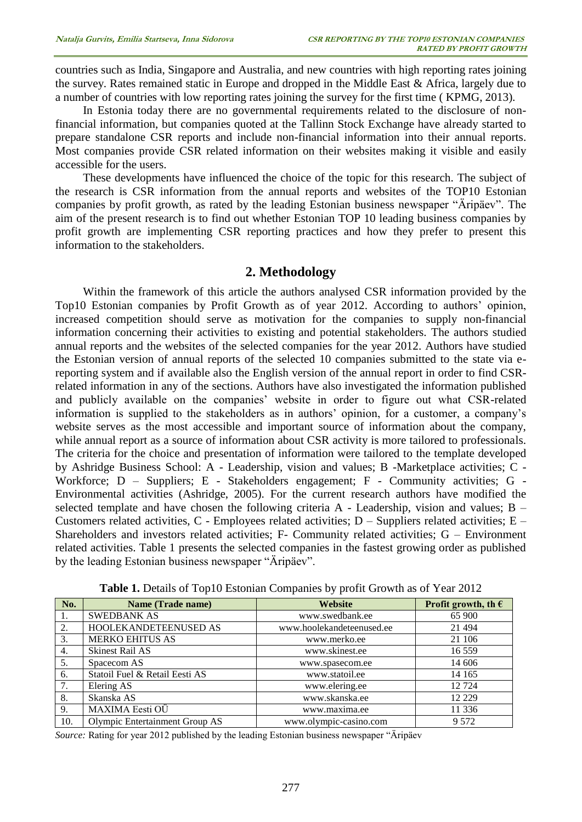countries such as India, Singapore and Australia, and new countries with high reporting rates joining the survey. Rates remained static in Europe and dropped in the Middle East & Africa, largely due to a number of countries with low reporting rates joining the survey for the first time ( KPMG, 2013).

In Estonia today there are no governmental requirements related to the disclosure of nonfinancial information, but companies quoted at the Tallinn Stock Exchange have already started to prepare standalone CSR reports and include non-financial information into their annual reports. Most companies provide CSR related information on their websites making it visible and easily accessible for the users.

These developments have influenced the choice of the topic for this research. The subject of the research is CSR information from the annual reports and websites of the TOP10 Estonian companies by profit growth, as rated by the leading Estonian business newspaper "Äripäev". The aim of the present research is to find out whether Estonian TOP 10 leading business companies by profit growth are implementing CSR reporting practices and how they prefer to present this information to the stakeholders.

### **2. Methodology**

Within the framework of this article the authors analysed CSR information provided by the Top10 Estonian companies by Profit Growth as of year 2012. According to authors' opinion, increased competition should serve as motivation for the companies to supply non-financial information concerning their activities to existing and potential stakeholders. The authors studied annual reports and the websites of the selected companies for the year 2012. Authors have studied the Estonian version of annual reports of the selected 10 companies submitted to the state via ereporting system and if available also the English version of the annual report in order to find CSRrelated information in any of the sections. Authors have also investigated the information published and publicly available on the companies' website in order to figure out what CSR-related information is supplied to the stakeholders as in authors' opinion, for a customer, a company's website serves as the most accessible and important source of information about the company, while annual report as a source of information about CSR activity is more tailored to professionals. The criteria for the choice and presentation of information were tailored to the template developed by Ashridge Business School: A - Leadership, vision and values; B -Marketplace activities; C - Workforce; D – Suppliers; E - Stakeholders engagement; F - Community activities; G - Environmental activities (Ashridge, 2005). For the current research authors have modified the selected template and have chosen the following criteria A - Leadership, vision and values; B – Customers related activities, C - Employees related activities; D – Suppliers related activities; E – Shareholders and investors related activities; F- Community related activities; G – Environment related activities. Table 1 presents the selected companies in the fastest growing order as published by the leading Estonian business newspaper "Äripäev".

| No. | <b>Name (Trade name)</b>       | Website                   | Profit growth, th $\epsilon$ |  |  |
|-----|--------------------------------|---------------------------|------------------------------|--|--|
| 1.  | <b>SWEDBANK AS</b>             | www.swedbank.ee           | 65 900                       |  |  |
| 2.  | HOOLEKANDETEENUSED AS          | www.hoolekandeteenused.ee | 21 4 9 4                     |  |  |
| 3.  | <b>MERKO EHITUS AS</b>         | www.merko.ee              | 21 10 6                      |  |  |
| 4.  | <b>Skinest Rail AS</b>         | www.skinest.ee            | 16 559                       |  |  |
| 5.  | Spacecom AS                    | www.spasecom.ee           | 14 606                       |  |  |
| 6.  | Statoil Fuel & Retail Eesti AS | www.statoil.ee            | 14 165                       |  |  |
| 7.  | Elering AS                     | www.elering.ee            | 12724                        |  |  |
| 8.  | Skanska AS                     | www.skanska.ee            | 12 2 2 9                     |  |  |
| 9.  | MAXIMA Eesti OÜ                | www.maxima.ee             | 11 3 36                      |  |  |
| 10. | Olympic Entertainment Group AS | www.olympic-casino.com    | 9 5 7 2                      |  |  |

**Table 1.** Details of Top10 Estonian Companies by profit Growth as of Year 2012

*Source:* Rating for year 2012 published by the leading Estonian business newspaper "Äripäev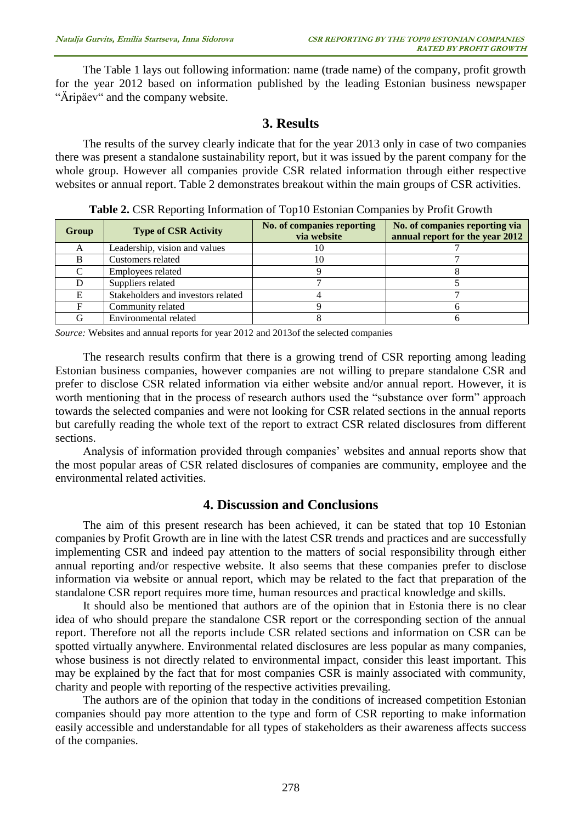The Table 1 lays out following information: name (trade name) of the company, profit growth for the year 2012 based on information published by the leading Estonian business newspaper "Äripäev" and the company website.

#### **3. Results**

The results of the survey clearly indicate that for the year 2013 only in case of two companies there was present a standalone sustainability report, but it was issued by the parent company for the whole group. However all companies provide CSR related information through either respective websites or annual report. Table 2 demonstrates breakout within the main groups of CSR activities.

| Group | <b>Type of CSR Activity</b>        | No. of companies reporting<br>via website | No. of companies reporting via<br>annual report for the year 2012 |  |
|-------|------------------------------------|-------------------------------------------|-------------------------------------------------------------------|--|
|       | Leadership, vision and values      | w                                         |                                                                   |  |
|       | Customers related                  |                                           |                                                                   |  |
|       | Employees related                  |                                           |                                                                   |  |
|       | Suppliers related                  |                                           |                                                                   |  |
|       | Stakeholders and investors related |                                           |                                                                   |  |
|       | Community related                  |                                           |                                                                   |  |
|       | Environmental related              |                                           |                                                                   |  |

**Table 2.** CSR Reporting Information of Top10 Estonian Companies by Profit Growth

*Source:* Websites and annual reports for year 2012 and 2013of the selected companies

The research results confirm that there is a growing trend of CSR reporting among leading Estonian business companies, however companies are not willing to prepare standalone CSR and prefer to disclose CSR related information via either website and/or annual report. However, it is worth mentioning that in the process of research authors used the "substance over form" approach towards the selected companies and were not looking for CSR related sections in the annual reports but carefully reading the whole text of the report to extract CSR related disclosures from different sections.

Analysis of information provided through companies' websites and annual reports show that the most popular areas of CSR related disclosures of companies are community, employee and the environmental related activities.

#### **4. Discussion and Conclusions**

The aim of this present research has been achieved, it can be stated that top 10 Estonian companies by Profit Growth are in line with the latest CSR trends and practices and are successfully implementing CSR and indeed pay attention to the matters of social responsibility through either annual reporting and/or respective website. It also seems that these companies prefer to disclose information via website or annual report, which may be related to the fact that preparation of the standalone CSR report requires more time, human resources and practical knowledge and skills.

It should also be mentioned that authors are of the opinion that in Estonia there is no clear idea of who should prepare the standalone CSR report or the corresponding section of the annual report. Therefore not all the reports include CSR related sections and information on CSR can be spotted virtually anywhere. Environmental related disclosures are less popular as many companies, whose business is not directly related to environmental impact, consider this least important. This may be explained by the fact that for most companies CSR is mainly associated with community, charity and people with reporting of the respective activities prevailing.

The authors are of the opinion that today in the conditions of increased competition Estonian companies should pay more attention to the type and form of CSR reporting to make information easily accessible and understandable for all types of stakeholders as their awareness affects success of the companies.